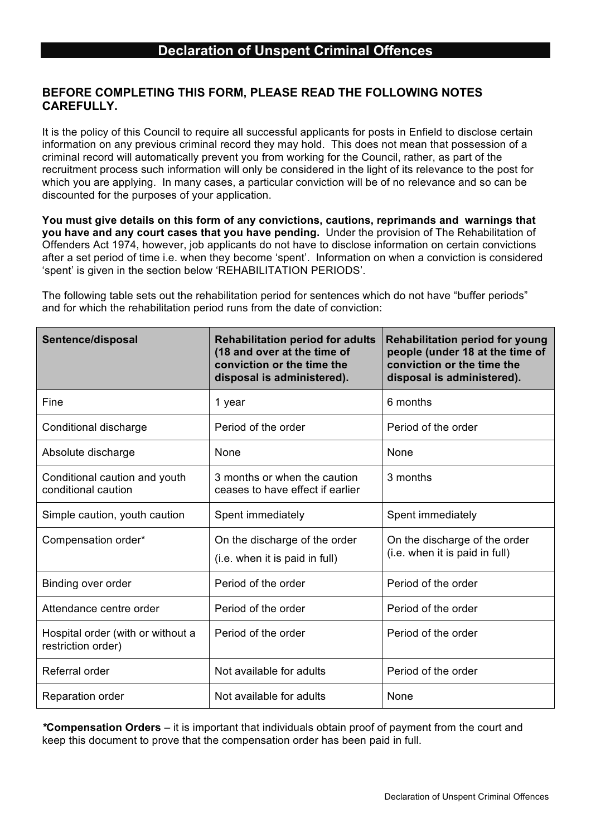### **BEFORE COMPLETING THIS FORM, PLEASE READ THE FOLLOWING NOTES CAREFULLY.**

It is the policy of this Council to require all successful applicants for posts in Enfield to disclose certain information on any previous criminal record they may hold. This does not mean that possession of a criminal record will automatically prevent you from working for the Council, rather, as part of the recruitment process such information will only be considered in the light of its relevance to the post for which you are applying. In many cases, a particular conviction will be of no relevance and so can be discounted for the purposes of your application.

**You must give details on this form of any convictions, cautions, reprimands and warnings that you have and any court cases that you have pending.** Under the provision of The Rehabilitation of Offenders Act 1974, however, job applicants do not have to disclose information on certain convictions after a set period of time i.e. when they become 'spent'. Information on when a conviction is considered 'spent' is given in the section below 'REHABILITATION PERIODS'.

The following table sets out the rehabilitation period for sentences which do not have "buffer periods" and for which the rehabilitation period runs from the date of conviction:

| Sentence/disposal                                       | <b>Rehabilitation period for adults</b><br>(18 and over at the time of<br>conviction or the time the<br>disposal is administered). | <b>Rehabilitation period for young</b><br>people (under 18 at the time of<br>conviction or the time the<br>disposal is administered). |
|---------------------------------------------------------|------------------------------------------------------------------------------------------------------------------------------------|---------------------------------------------------------------------------------------------------------------------------------------|
| Fine                                                    | 1 year                                                                                                                             | 6 months                                                                                                                              |
| Conditional discharge                                   | Period of the order                                                                                                                | Period of the order                                                                                                                   |
| Absolute discharge                                      | <b>None</b>                                                                                                                        | None                                                                                                                                  |
| Conditional caution and youth<br>conditional caution    | 3 months or when the caution<br>ceases to have effect if earlier                                                                   | 3 months                                                                                                                              |
| Simple caution, youth caution                           | Spent immediately                                                                                                                  | Spent immediately                                                                                                                     |
| Compensation order*                                     | On the discharge of the order<br>(i.e. when it is paid in full)                                                                    | On the discharge of the order<br>(i.e. when it is paid in full)                                                                       |
| Binding over order                                      | Period of the order                                                                                                                | Period of the order                                                                                                                   |
| Attendance centre order                                 | Period of the order                                                                                                                | Period of the order                                                                                                                   |
| Hospital order (with or without a<br>restriction order) | Period of the order                                                                                                                | Period of the order                                                                                                                   |
| Referral order                                          | Not available for adults                                                                                                           | Period of the order                                                                                                                   |
| Reparation order                                        | Not available for adults                                                                                                           | None                                                                                                                                  |

*\****Compensation Orders** – it is important that individuals obtain proof of payment from the court and keep this document to prove that the compensation order has been paid in full.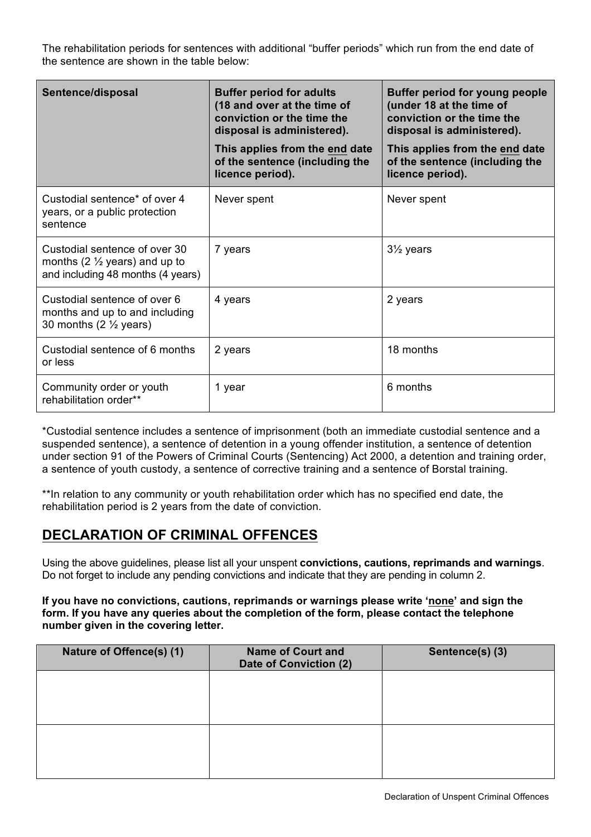The rehabilitation periods for sentences with additional "buffer periods" which run from the end date of the sentence are shown in the table below:

| Sentence/disposal                                                                                              | <b>Buffer period for adults</b><br>(18 and over at the time of<br>conviction or the time the<br>disposal is administered).<br>This applies from the end date<br>of the sentence (including the<br>licence period). | Buffer period for young people<br>(under 18 at the time of<br>conviction or the time the<br>disposal is administered).<br>This applies from the end date<br>of the sentence (including the<br>licence period). |
|----------------------------------------------------------------------------------------------------------------|--------------------------------------------------------------------------------------------------------------------------------------------------------------------------------------------------------------------|----------------------------------------------------------------------------------------------------------------------------------------------------------------------------------------------------------------|
| Custodial sentence* of over 4<br>years, or a public protection<br>sentence                                     | Never spent                                                                                                                                                                                                        | Never spent                                                                                                                                                                                                    |
| Custodial sentence of over 30<br>months (2 $\frac{1}{2}$ years) and up to<br>and including 48 months (4 years) | 7 years                                                                                                                                                                                                            | $3\frac{1}{2}$ years                                                                                                                                                                                           |
| Custodial sentence of over 6<br>months and up to and including<br>30 months $(2 \frac{1}{2} \text{ years})$    | 4 years                                                                                                                                                                                                            | 2 years                                                                                                                                                                                                        |
| Custodial sentence of 6 months<br>or less                                                                      | 2 years                                                                                                                                                                                                            | 18 months                                                                                                                                                                                                      |
| Community order or youth<br>rehabilitation order**                                                             | 1 year                                                                                                                                                                                                             | 6 months                                                                                                                                                                                                       |

\*Custodial sentence includes a sentence of imprisonment (both an immediate custodial sentence and a suspended sentence), a sentence of detention in a young offender institution, a sentence of detention under section 91 of the Powers of Criminal Courts (Sentencing) Act 2000, a detention and training order, a sentence of youth custody, a sentence of corrective training and a sentence of Borstal training.

\*\*In relation to any community or youth rehabilitation order which has no specified end date, the rehabilitation period is 2 years from the date of conviction.

## **DECLARATION OF CRIMINAL OFFENCES**

Using the above guidelines, please list all your unspent **convictions, cautions, reprimands and warnings**. Do not forget to include any pending convictions and indicate that they are pending in column 2.

**If you have no convictions, cautions, reprimands or warnings please write 'none' and sign the form. If you have any queries about the completion of the form, please contact the telephone number given in the covering letter.**

| Nature of Offence(s) (1) | <b>Name of Court and</b><br>Date of Conviction (2) | Sentence(s)(3) |
|--------------------------|----------------------------------------------------|----------------|
|                          |                                                    |                |
|                          |                                                    |                |
|                          |                                                    |                |
|                          |                                                    |                |
|                          |                                                    |                |